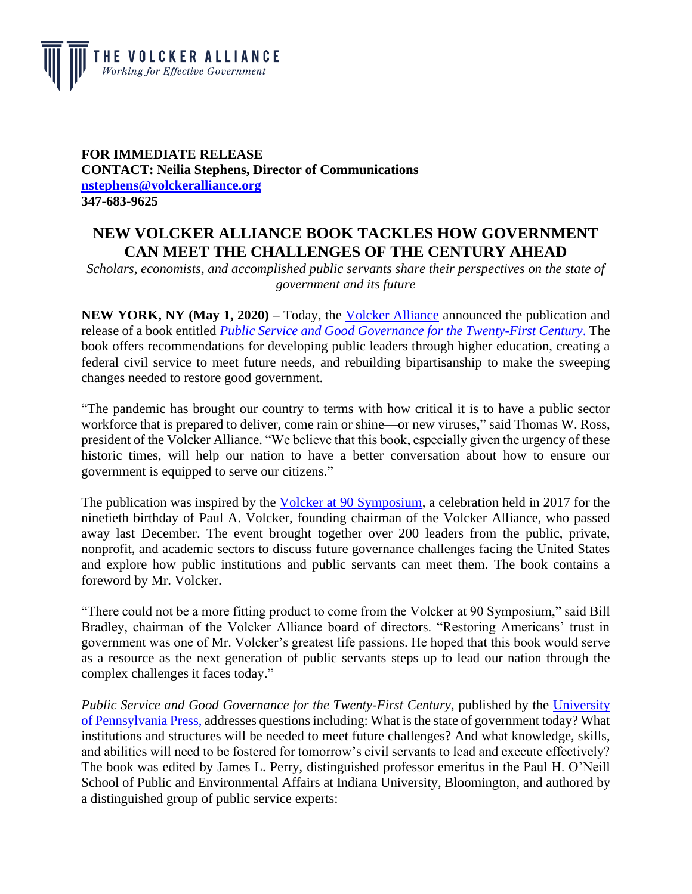

## **FOR IMMEDIATE RELEASE CONTACT: Neilia Stephens, Director of Communications [nstephens@volckeralliance.org](mailto:nstephens@volckeralliance.org) 347-683-9625**

## **NEW VOLCKER ALLIANCE BOOK TACKLES HOW GOVERNMENT CAN MEET THE CHALLENGES OF THE CENTURY AHEAD**

*Scholars, economists, and accomplished public servants share their perspectives on the state of government and its future*

**NEW YORK, NY (May 1, 2020)** – Today, the [Volcker Alliance](http://www.volckeralliance.org/) announced the publication and release of a book entitled *[Public Service and Good Governance for the Twenty-First Century](https://www.volckeralliance.org/news/public-service-and-good-governance-twenty-first-century)*. The book offers recommendations for developing public leaders through higher education, creating a federal civil service to meet future needs, and rebuilding bipartisanship to make the sweeping changes needed to restore good government.

"The pandemic has brought our country to terms with how critical it is to have a public sector workforce that is prepared to deliver, come rain or shine—or new viruses," said Thomas W. Ross, president of the Volcker Alliance. "We believe that this book, especially given the urgency of these historic times, will help our nation to have a better conversation about how to ensure our government is equipped to serve our citizens."

The publication was inspired by the [Volcker at 90 Symposium,](https://www.volckeralliance.org/news/volcker-alliance-calls-rethinking-effective-government) a celebration held in 2017 for the ninetieth birthday of Paul A. Volcker, founding chairman of the Volcker Alliance, who passed away last December. The event brought together over 200 leaders from the public, private, nonprofit, and academic sectors to discuss future governance challenges facing the United States and explore how public institutions and public servants can meet them. The book contains a foreword by Mr. Volcker.

"There could not be a more fitting product to come from the Volcker at 90 Symposium," said Bill Bradley, chairman of the Volcker Alliance board of directors. "Restoring Americans' trust in government was one of Mr. Volcker's greatest life passions. He hoped that this book would serve as a resource as the next generation of public servants steps up to lead our nation through the complex challenges it faces today."

*Public Service and Good Governance for the Twenty-First Century*, published by the [University](https://www.upenn.edu/pennpress/)  [of Pennsylvania Press,](https://www.upenn.edu/pennpress/) addresses questions including: What is the state of government today? What institutions and structures will be needed to meet future challenges? And what knowledge, skills, and abilities will need to be fostered for tomorrow's civil servants to lead and execute effectively? The book was edited by James L. Perry, distinguished professor emeritus in the Paul H. O'Neill School of Public and Environmental Affairs at Indiana University, Bloomington, and authored by a distinguished group of public service experts: